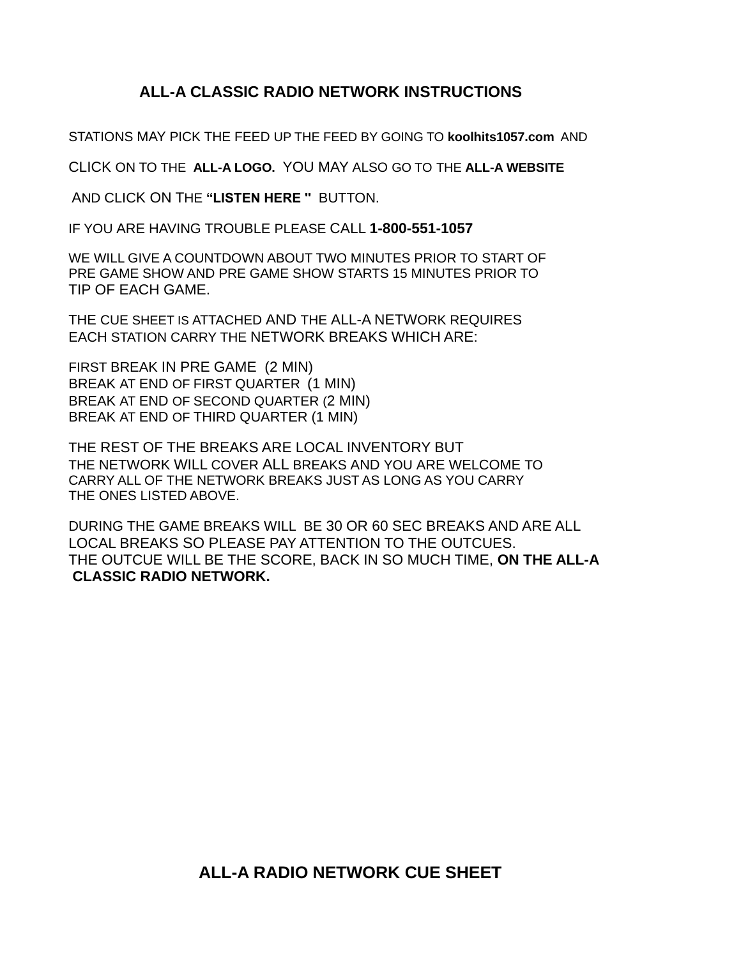## **ALL-A CLASSIC RADIO NETWORK INSTRUCTIONS**

STATIONS MAY PICK THE FEED UP THE FEED BY GOING TO **koolhits1057.com** AND

CLICK ON TO THE **ALL-A LOGO.** YOU MAY ALSO GO TO THE **ALL-A WEBSITE**

AND CLICK ON THE **"LISTEN HERE ''** BUTTON.

IF YOU ARE HAVING TROUBLE PLEASE CALL **1-800-551-1057**

WE WILL GIVE A COUNTDOWN ABOUT TWO MINUTES PRIOR TO START OF PRE GAME SHOW AND PRE GAME SHOW STARTS 15 MINUTES PRIOR TO TIP OF EACH GAME.

THE CUE SHEET IS ATTACHED AND THE ALL-A NETWORK REQUIRES EACH STATION CARRY THE NETWORK BREAKS WHICH ARE:

FIRST BREAK IN PRE GAME (2 MIN) BREAK AT END OF FIRST QUARTER (1 MIN) BREAK AT END OF SECOND QUARTER (2 MIN) BREAK AT END OF THIRD QUARTER (1 MIN)

THE REST OF THE BREAKS ARE LOCAL INVENTORY BUT THE NETWORK WILL COVER ALL BREAKS AND YOU ARE WELCOME TO CARRY ALL OF THE NETWORK BREAKS JUST AS LONG AS YOU CARRY THE ONES LISTED ABOVE.

DURING THE GAME BREAKS WILL BE 30 OR 60 SEC BREAKS AND ARE ALL LOCAL BREAKS SO PLEASE PAY ATTENTION TO THE OUTCUES. THE OUTCUE WILL BE THE SCORE, BACK IN SO MUCH TIME, **ON THE ALL-A CLASSIC RADIO NETWORK.**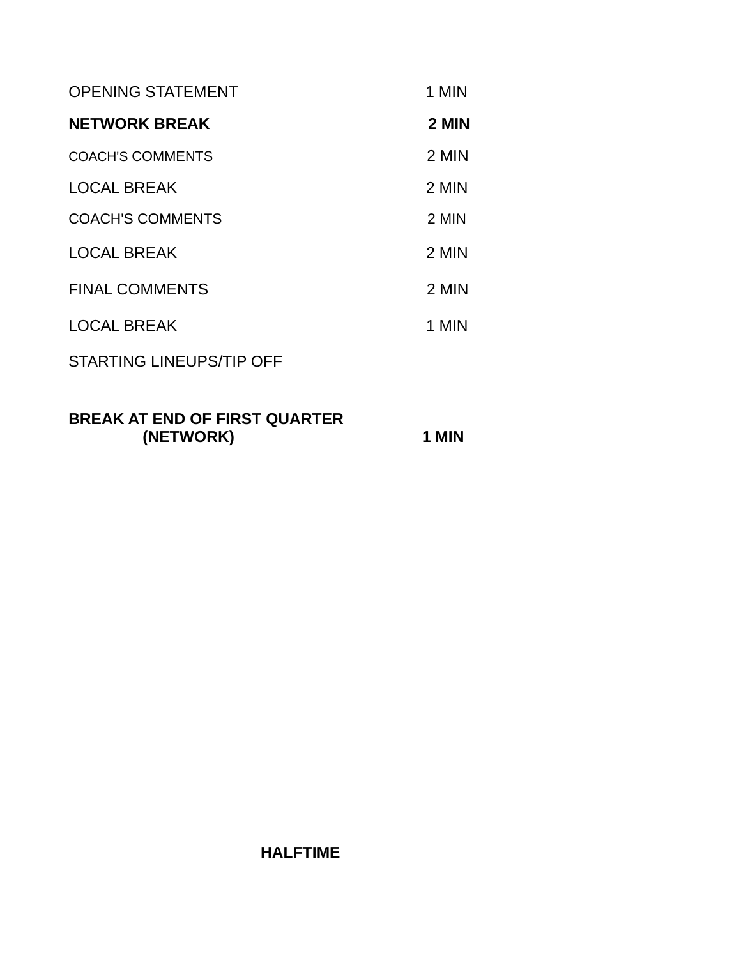| <b>OPENING STATEMENT</b>        | 1 MIN |
|---------------------------------|-------|
| <b>NETWORK BREAK</b>            | 2 MIN |
| <b>COACH'S COMMENTS</b>         | 2 MIN |
| <b>LOCAL BREAK</b>              | 2 MIN |
| <b>COACH'S COMMENTS</b>         | 2 MIN |
| <b>LOCAL BREAK</b>              | 2 MIN |
| <b>FINAL COMMENTS</b>           | 2 MIN |
| <b>LOCAL BREAK</b>              | 1 MIN |
| <b>STARTING LINEUPS/TIP OFF</b> |       |
|                                 |       |

## **BREAK AT END OF FIRST QUARTER (NETWORK) 1 MIN**

## **HALFTIME**